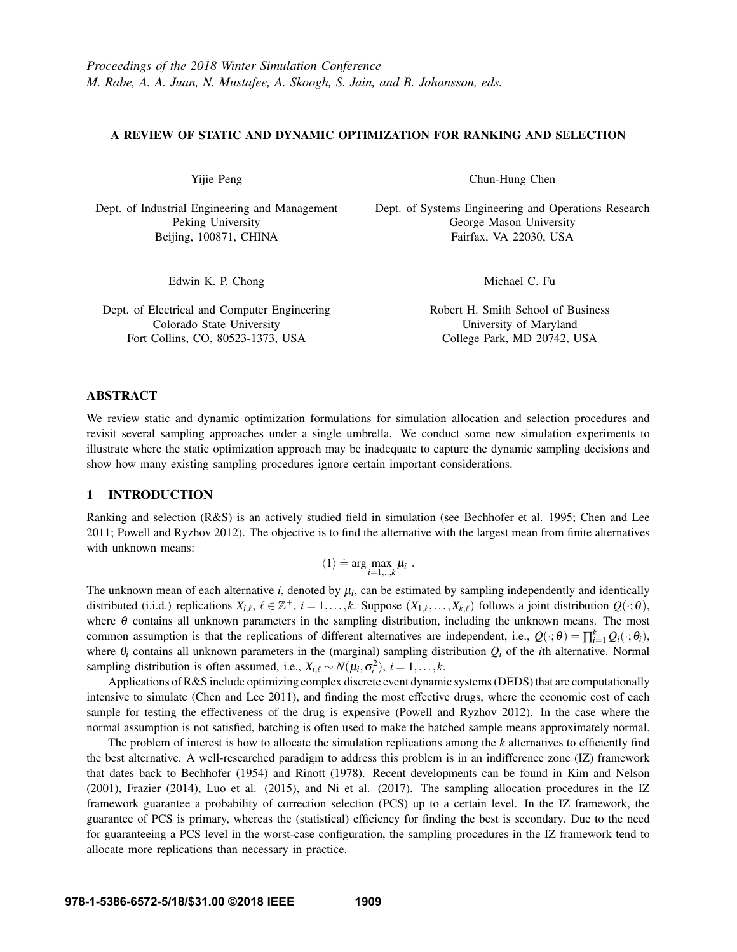#### A REVIEW OF STATIC AND DYNAMIC OPTIMIZATION FOR RANKING AND SELECTION

Yijie Peng

Dept. of Industrial Engineering and Management Peking University Beijing, 100871, CHINA

Chun-Hung Chen

Dept. of Systems Engineering and Operations Research George Mason University Fairfax, VA 22030, USA

Edwin K. P. Chong

Dept. of Electrical and Computer Engineering Colorado State University Fort Collins, CO, 80523-1373, USA

Michael C. Fu

Robert H. Smith School of Business University of Maryland College Park, MD 20742, USA

# ABSTRACT

We review static and dynamic optimization formulations for simulation allocation and selection procedures and revisit several sampling approaches under a single umbrella. We conduct some new simulation experiments to illustrate where the static optimization approach may be inadequate to capture the dynamic sampling decisions and show how many existing sampling procedures ignore certain important considerations.

# 1 INTRODUCTION

Ranking and selection (R&S) is an actively studied field in simulation (see Bechhofer et al. 1995; Chen and Lee 2011; Powell and Ryzhov 2012). The objective is to find the alternative with the largest mean from finite alternatives with unknown means:

$$
\langle 1 \rangle \doteq \arg \max_{i=1,..,k} \mu_i \ .
$$

The unknown mean of each alternative  $i$ , denoted by  $\mu_i$ , can be estimated by sampling independently and identically distributed (i.i.d.) replications  $X_{i,\ell}, \ell \in \mathbb{Z}^+, i = 1,\ldots,k$ . Suppose  $(X_{1,\ell},\ldots,X_{k,\ell})$  follows a joint distribution  $Q(\cdot;\theta)$ , where  $\theta$  contains all unknown parameters in the sampling distribution, including the unknown means. The most common assumption is that the replications of different alternatives are independent, i.e.,  $Q(\cdot; \theta) = \prod_{i=1}^{k} Q_i(\cdot; \theta_i)$ , where θ*<sup>i</sup>* contains all unknown parameters in the (marginal) sampling distribution *Q<sup>i</sup>* of the *i*th alternative. Normal sampling distribution is often assumed, i.e.,  $X_{i,\ell} \sim N(\mu_i, \sigma_i^2), i = 1, \ldots, k$ .

Applications of R&S include optimizing complex discrete event dynamic systems (DEDS) that are computationally intensive to simulate (Chen and Lee 2011), and finding the most effective drugs, where the economic cost of each sample for testing the effectiveness of the drug is expensive (Powell and Ryzhov 2012). In the case where the normal assumption is not satisfied, batching is often used to make the batched sample means approximately normal.

The problem of interest is how to allocate the simulation replications among the *k* alternatives to efficiently find the best alternative. A well-researched paradigm to address this problem is in an indifference zone (IZ) framework that dates back to Bechhofer (1954) and Rinott (1978). Recent developments can be found in Kim and Nelson (2001), Frazier (2014), Luo et al. (2015), and Ni et al. (2017). The sampling allocation procedures in the IZ framework guarantee a probability of correction selection (PCS) up to a certain level. In the IZ framework, the guarantee of PCS is primary, whereas the (statistical) efficiency for finding the best is secondary. Due to the need for guaranteeing a PCS level in the worst-case configuration, the sampling procedures in the IZ framework tend to allocate more replications than necessary in practice.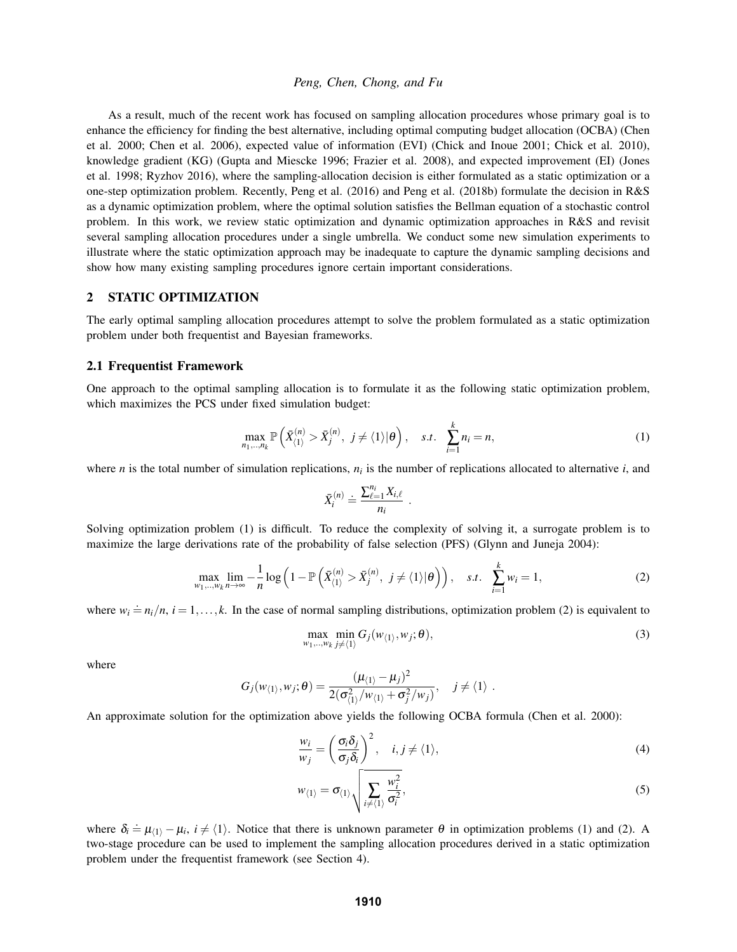As a result, much of the recent work has focused on sampling allocation procedures whose primary goal is to enhance the efficiency for finding the best alternative, including optimal computing budget allocation (OCBA) (Chen et al. 2000; Chen et al. 2006), expected value of information (EVI) (Chick and Inoue 2001; Chick et al. 2010), knowledge gradient (KG) (Gupta and Miescke 1996; Frazier et al. 2008), and expected improvement (EI) (Jones et al. 1998; Ryzhov 2016), where the sampling-allocation decision is either formulated as a static optimization or a one-step optimization problem. Recently, Peng et al. (2016) and Peng et al. (2018b) formulate the decision in R&S as a dynamic optimization problem, where the optimal solution satisfies the Bellman equation of a stochastic control problem. In this work, we review static optimization and dynamic optimization approaches in R&S and revisit several sampling allocation procedures under a single umbrella. We conduct some new simulation experiments to illustrate where the static optimization approach may be inadequate to capture the dynamic sampling decisions and show how many existing sampling procedures ignore certain important considerations.

# 2 STATIC OPTIMIZATION

The early optimal sampling allocation procedures attempt to solve the problem formulated as a static optimization problem under both frequentist and Bayesian frameworks.

## 2.1 Frequentist Framework

One approach to the optimal sampling allocation is to formulate it as the following static optimization problem, which maximizes the PCS under fixed simulation budget:

$$
\max_{n_1,\ldots,n_k} \mathbb{P}\left(\bar{X}_{\langle 1\rangle}^{(n)} > \bar{X}_{j}^{(n)}, \ j \neq \langle 1\rangle | \theta\right), \quad s.t. \quad \sum_{i=1}^{k} n_i = n,\tag{1}
$$

where  $n$  is the total number of simulation replications,  $n_i$  is the number of replications allocated to alternative  $i$ , and

$$
\bar{X}_i^{(n)} \doteq \frac{\sum_{\ell=1}^{n_i} X_{i,\ell}}{n_i} \ .
$$

Solving optimization problem (1) is difficult. To reduce the complexity of solving it, a surrogate problem is to maximize the large derivations rate of the probability of false selection (PFS) (Glynn and Juneja 2004):

$$
\max_{w_1,\ldots,w_k} \lim_{n\to\infty} -\frac{1}{n} \log \left( 1 - \mathbb{P}\left( \bar{X}_{\langle 1 \rangle}^{(n)} > \bar{X}_{j}^{(n)}, \ j \neq \langle 1 \rangle | \theta \right) \right), \quad s.t. \quad \sum_{i=1}^{k} w_i = 1,\tag{2}
$$

where  $w_i \doteq n_i/n$ ,  $i = 1,...,k$ . In the case of normal sampling distributions, optimization problem (2) is equivalent to

$$
\max_{w_1,\ldots,w_k} \min_{j\neq\langle 1\rangle} G_j(w_{\langle 1\rangle},w_j;\boldsymbol{\theta}),
$$
\n(3)

where

$$
G_j(w_{\langle 1 \rangle}, w_j; \boldsymbol{\theta}) = \frac{(\mu_{\langle 1 \rangle} - \mu_j)^2}{2(\sigma_{\langle 1 \rangle}^2 / w_{\langle 1 \rangle} + \sigma_j^2 / w_j)}, \quad j \neq \langle 1 \rangle.
$$

An approximate solution for the optimization above yields the following OCBA formula (Chen et al. 2000):

$$
\frac{w_i}{w_j} = \left(\frac{\sigma_i \delta_j}{\sigma_j \delta_i}\right)^2, \quad i, j \neq \langle 1 \rangle,
$$
\n(4)

$$
w_{\langle 1 \rangle} = \sigma_{\langle 1 \rangle} \sqrt{\sum_{i \neq \langle 1 \rangle} \frac{w_i^2}{\sigma_i^2}},\tag{5}
$$

where  $\delta_i = \mu_{(1)} - \mu_i$ ,  $i \neq (1)$ . Notice that there is unknown parameter  $\theta$  in optimization problems (1) and (2). A two-stage procedure can be used to implement the sampling allocation procedures derived in a static optimization problem under the frequentist framework (see Section 4).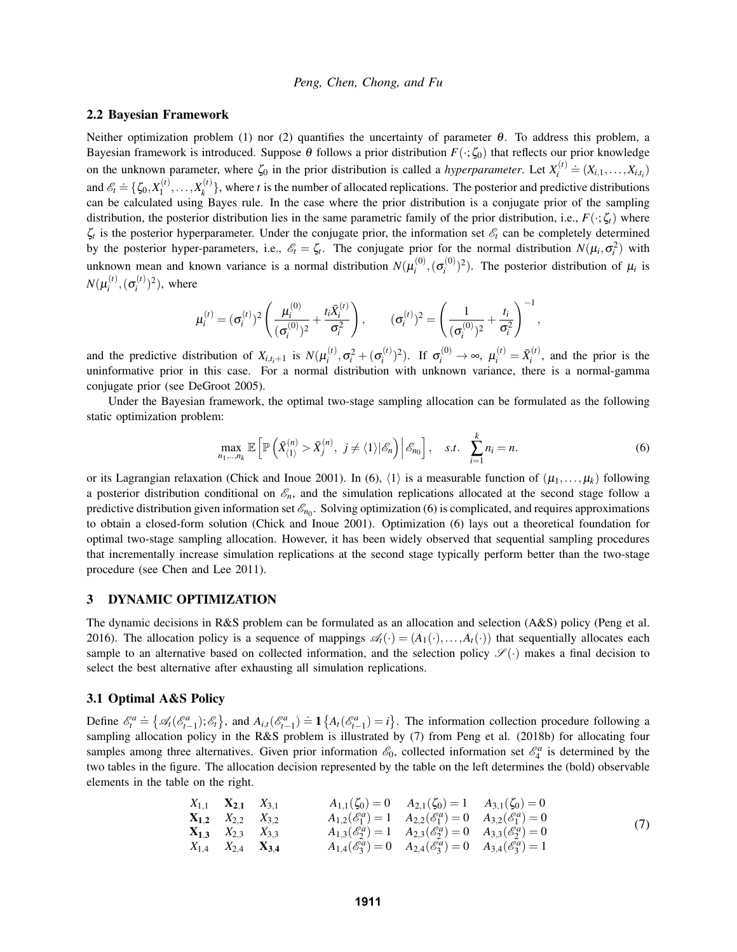#### 2.2 Bayesian Framework

Neither optimization problem (1) nor (2) quantifies the uncertainty of parameter θ. To address this problem, a Bayesian framework is introduced. Suppose  $\theta$  follows a prior distribution  $F(\cdot;\zeta_0)$  that reflects our prior knowledge on the unknown parameter, where  $\zeta_0$  in the prior distribution is called a *hyperparameter*. Let  $X_i^{(t)}$  $\sum_{i}^{(t)} \stackrel{\cdot}{=} (X_{i,1}, \ldots, X_{i,t_i})$ and  $\mathscr{E}_t \doteq \{ \zeta_0, X_1^{(t)} \}$  $X_1^{(t)},...,X_k^{(t)}$  $\{k \atop k}$ , where *t* is the number of allocated replications. The posterior and predictive distributions can be calculated using Bayes rule. In the case where the prior distribution is a conjugate prior of the sampling distribution, the posterior distribution lies in the same parametric family of the prior distribution, i.e.,  $F(\cdot;\zeta_t)$  where  $\zeta_t$  is the posterior hyperparameter. Under the conjugate prior, the information set  $\mathscr{E}_t$  can be completely determined by the posterior hyper-parameters, i.e.,  $\mathscr{E}_t = \zeta_t$ . The conjugate prior for the normal distribution  $N(\mu_i, \sigma_i^2)$  with unknown mean and known variance is a normal distribution  $N(\mu_i^{(0)})$  $\sigma_i^{(0)},(\sigma_i^{(0)})$  $\mu_i^{(0)}$ <sup>2</sup>). The posterior distribution of  $\mu_i$  is  $N({\mu_i^{(t)}}$  $\sigma_i^{(t)},(\sigma_i^{(t)})$  $\binom{f}{i}^2$ , where

$$
\mu_i^{(t)} = (\sigma_i^{(t)})^2 \left( \frac{\mu_i^{(0)}}{(\sigma_i^{(0)})^2} + \frac{t_i \bar{X}_i^{(t)}}{\sigma_i^2} \right), \qquad (\sigma_i^{(t)})^2 = \left( \frac{1}{(\sigma_i^{(0)})^2} + \frac{t_i}{\sigma_i^2} \right)^{-1},
$$

and the predictive distribution of  $X_{i,t_i+1}$  is  $N(\mu_i^{(t)})$  $\sigma_i^{(t)}, \sigma_i^{2} + (\sigma_i^{(t)})$  $\mu_i^{(t)}$ <sup>2</sup>). If  $\sigma_i^{(0)} \to \infty$ ,  $\mu_i^{(t)} = \bar{X}_i^{(t)}$  $i^{(1)}$ , and the prior is the uninformative prior in this case. For a normal distribution with unknown variance, there is a normal-gamma conjugate prior (see DeGroot 2005).

Under the Bayesian framework, the optimal two-stage sampling allocation can be formulated as the following static optimization problem:

$$
\max_{n_1,\dots,n_k} \mathbb{E}\left[\mathbb{P}\left(\bar{X}_{\langle 1\rangle}^{(n)} > \bar{X}_{j}^{(n)}, \ j \neq \langle 1\rangle | \mathscr{E}_n\right) \middle| \mathscr{E}_{n_0}\right], \quad s.t. \quad \sum_{i=1}^k n_i = n. \tag{6}
$$

or its Lagrangian relaxation (Chick and Inoue 2001). In (6),  $\langle 1 \rangle$  is a measurable function of  $(\mu_1, \ldots, \mu_k)$  following a posterior distribution conditional on  $\mathcal{E}_n$ , and the simulation replications allocated at the second stage follow a predictive distribution given information set  $\mathscr{E}_{n_0}$ . Solving optimization (6) is complicated, and requires approximations to obtain a closed-form solution (Chick and Inoue 2001). Optimization (6) lays out a theoretical foundation for optimal two-stage sampling allocation. However, it has been widely observed that sequential sampling procedures that incrementally increase simulation replications at the second stage typically perform better than the two-stage procedure (see Chen and Lee 2011).

#### 3 DYNAMIC OPTIMIZATION

The dynamic decisions in R&S problem can be formulated as an allocation and selection (A&S) policy (Peng et al. 2016). The allocation policy is a sequence of mappings  $\mathscr{A}_t(\cdot) = (A_1(\cdot), \dots, A_t(\cdot))$  that sequentially allocates each sample to an alternative based on collected information, and the selection policy  $\mathscr{S}(\cdot)$  makes a final decision to select the best alternative after exhausting all simulation replications.

## 3.1 Optimal A&S Policy

Define  $\mathscr{E}_t^a \doteq \{ \mathscr{A}_t(\mathscr{E}_{t-1}^a); \mathscr{E}_t \}$ , and  $A_{i,t}(\mathscr{E}_{t-1}^a) \doteq 1 \{ A_t(\mathscr{E}_{t-1}^a) = i \}$ . The information collection procedure following a sampling allocation policy in the R&S problem is illustrated by (7) from Peng et al. (2018b) for allocating four samples among three alternatives. Given prior information  $\mathcal{E}_0$ , collected information set  $\mathcal{E}_4^a$  is determined by the two tables in the figure. The allocation decision represented by the table on the left determines the (bold) observable elements in the table on the right.

$$
X_{1,1} \t X_{2,1} \t X_{3,1} \t A_{1,1}(\zeta_0) = 0 \t A_{2,1}(\zeta_0) = 1 \t A_{3,1}(\zeta_0) = 0
$$
  
\n
$$
X_{1,2} \t X_{2,2} \t X_{3,2} \t A_{1,2}(\mathscr{E}_1^a) = 1 \t A_{2,2}(\mathscr{E}_1^a) = 0 \t A_{3,2}(\mathscr{E}_1^a) = 0
$$
  
\n
$$
X_{1,3} \t X_{2,3} \t X_{3,3} \t A_{1,3}(\mathscr{E}_2^a) = 1 \t A_{2,3}(\mathscr{E}_2^a) = 0 \t A_{3,3}(\mathscr{E}_2^a) = 0
$$
  
\n
$$
X_{1,4} \t X_{2,4} \t X_{3,4} \t A_{1,4}(\mathscr{E}_3^a) = 0 \t A_{2,4}(\mathscr{E}_3^a) = 0 \t A_{3,4}(\mathscr{E}_3^a) = 1
$$
\n
$$
(7)
$$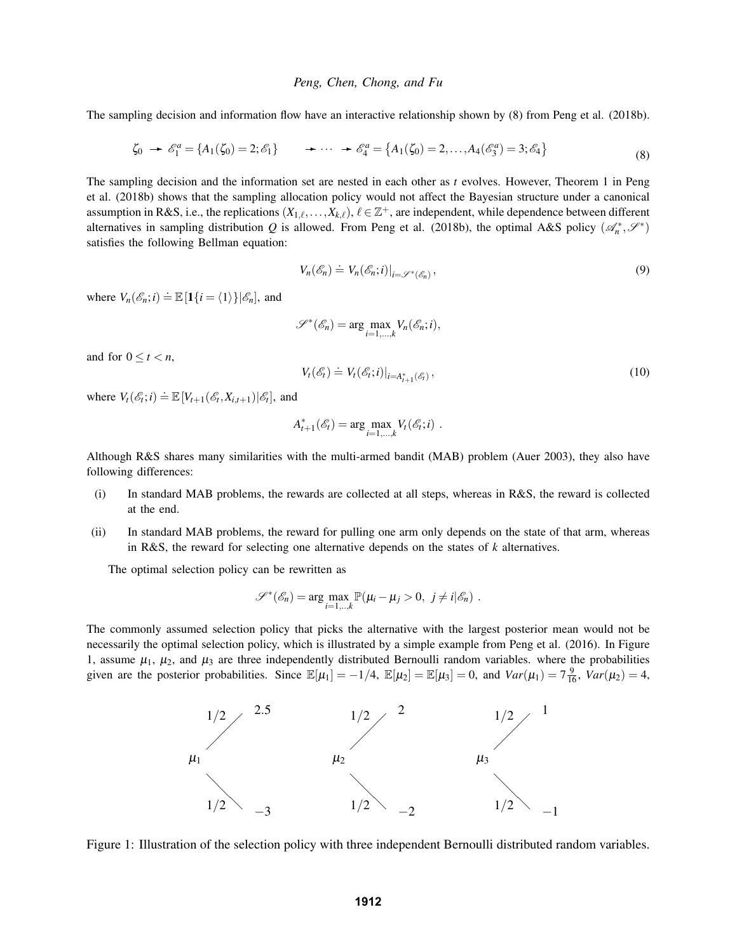The sampling decision and information flow have an interactive relationship shown by (8) from Peng et al. (2018b).

$$
\zeta_0 \to \mathscr{E}_1^a = \{ A_1(\zeta_0) = 2; \mathscr{E}_1 \} \to \cdots \to \mathscr{E}_4^a = \{ A_1(\zeta_0) = 2, \ldots, A_4(\mathscr{E}_3^a) = 3; \mathscr{E}_4 \}
$$
(8)

The sampling decision and the information set are nested in each other as *t* evolves. However, Theorem 1 in Peng et al. (2018b) shows that the sampling allocation policy would not affect the Bayesian structure under a canonical assumption in R&S, i.e., the replications  $(X_{1,\ell},\ldots,X_{k,\ell}),$   $\ell \in \mathbb{Z}^+$ , are independent, while dependence between different alternatives in sampling distribution *Q* is allowed. From Peng et al. (2018b), the optimal A&S policy  $(\mathscr{A}_n^*, \mathscr{S}^*)$ satisfies the following Bellman equation:

$$
V_n(\mathscr{E}_n) \doteq V_n(\mathscr{E}_n; i)|_{i = \mathscr{S}^*(\mathscr{E}_n)},
$$
\n(9)

where  $V_n(\mathscr{E}_n; i) \doteq \mathbb{E}[\mathbf{1}\{i = \langle 1 \rangle\}|\mathscr{E}_n]$ , and

$$
\mathscr{S}^*(\mathscr{E}_n) = \arg \max_{i=1,\dots,k} V_n(\mathscr{E}_n; i),
$$

and for  $0 \le t < n$ ,

$$
V_t(\mathscr{E}_t) \doteq V_t(\mathscr{E}_t; i)|_{i = A_{t+1}^*(\mathscr{E}_t)},
$$
\n(10)

where  $V_t(\mathscr{E}_t; i) \doteq \mathbb{E}\left[V_{t+1}(\mathscr{E}_t; X_{i,t+1})|\mathscr{E}_t\right]$ , and

$$
A_{t+1}^*(\mathscr{E}_t) = \arg \max_{i=1,\dots,k} V_t(\mathscr{E}_t; i) .
$$

Although R&S shares many similarities with the multi-armed bandit (MAB) problem (Auer 2003), they also have following differences:

- (i) In standard MAB problems, the rewards are collected at all steps, whereas in R&S, the reward is collected at the end.
- (ii) In standard MAB problems, the reward for pulling one arm only depends on the state of that arm, whereas in R&S, the reward for selecting one alternative depends on the states of *k* alternatives.

The optimal selection policy can be rewritten as

$$
\mathscr{S}^*(\mathscr{E}_n) = \arg \max_{i=1,..,k} \mathbb{P}(\mu_i - \mu_j > 0, \ j \neq i | \mathscr{E}_n).
$$

The commonly assumed selection policy that picks the alternative with the largest posterior mean would not be necessarily the optimal selection policy, which is illustrated by a simple example from Peng et al. (2016). In Figure 1, assume  $\mu_1$ ,  $\mu_2$ , and  $\mu_3$  are three independently distributed Bernoulli random variables. where the probabilities given are the posterior probabilities. Since  $\mathbb{E}[\mu_1] = -1/4$ ,  $\mathbb{E}[\mu_2] = \mathbb{E}[\mu_3] = 0$ , and  $Var(\mu_1) = 7\frac{9}{16}$ ,  $Var(\mu_2) = 4$ ,



Figure 1: Illustration of the selection policy with three independent Bernoulli distributed random variables.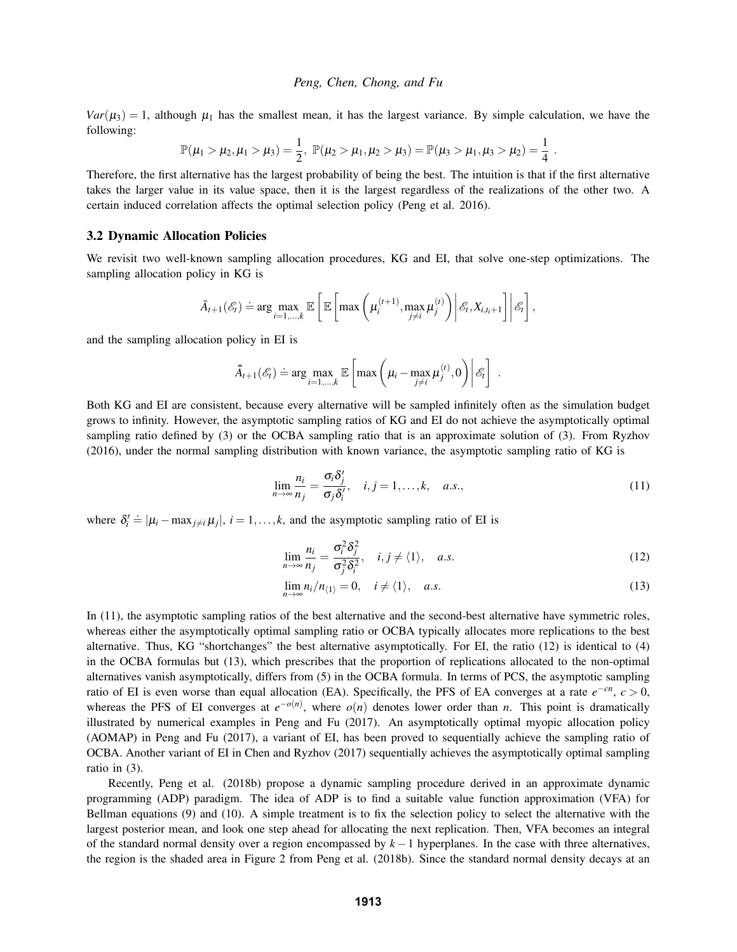$Var(\mu_3) = 1$ , although  $\mu_1$  has the smallest mean, it has the largest variance. By simple calculation, we have the following:

$$
\mathbb{P}(\mu_1 > \mu_2, \mu_1 > \mu_3) = \frac{1}{2}, \; \mathbb{P}(\mu_2 > \mu_1, \mu_2 > \mu_3) = \mathbb{P}(\mu_3 > \mu_1, \mu_3 > \mu_2) = \frac{1}{4} \; .
$$

Therefore, the first alternative has the largest probability of being the best. The intuition is that if the first alternative takes the larger value in its value space, then it is the largest regardless of the realizations of the other two. A certain induced correlation affects the optimal selection policy (Peng et al. 2016).

#### 3.2 Dynamic Allocation Policies

We revisit two well-known sampling allocation procedures, KG and EI, that solve one-step optimizations. The sampling allocation policy in KG is

$$
\bar{A}_{t+1}(\mathscr{E}_t) \doteq \arg\max_{i=1,\dots,k} \mathbb{E}\left[\mathbb{E}\left[\max\left(\mu_i^{(t+1)},\max_{j\neq i}\mu_j^{(t)}\right)\middle|\mathscr{E}_t, X_{i,t_i+1}\right]\middle|\mathscr{E}_t\right],
$$

and the sampling allocation policy in EI is

$$
\bar{A}_{t+1}(\mathscr{E}_t) \doteq \arg\max_{i=1,\dots,k} \mathbb{E}\left[\max\left(\mu_i - \max_{j \neq i} \mu_j^{(t)}, 0\right) \middle| \mathscr{E}_t\right]
$$

Both KG and EI are consistent, because every alternative will be sampled infinitely often as the simulation budget grows to infinity. However, the asymptotic sampling ratios of KG and EI do not achieve the asymptotically optimal sampling ratio defined by (3) or the OCBA sampling ratio that is an approximate solution of (3). From Ryzhov (2016), under the normal sampling distribution with known variance, the asymptotic sampling ratio of KG is

$$
\lim_{n \to \infty} \frac{n_i}{n_j} = \frac{\sigma_i \delta'_j}{\sigma_j \delta'_i}, \quad i, j = 1, \dots, k, \quad a.s.,
$$
\n(11)

.

where  $\delta_i' = |\mu_i - \max_{j \neq i} \mu_j|, i = 1, ..., k$ , and the asymptotic sampling ratio of EI is

$$
\lim_{n \to \infty} \frac{n_i}{n_j} = \frac{\sigma_i^2 \delta_j^2}{\sigma_j^2 \delta_i^2}, \quad i, j \neq \langle 1 \rangle, \quad a.s.
$$
\n(12)

$$
\lim_{n \to \infty} n_i/n_{\langle 1 \rangle} = 0, \quad i \neq \langle 1 \rangle, \quad a.s. \tag{13}
$$

In (11), the asymptotic sampling ratios of the best alternative and the second-best alternative have symmetric roles, whereas either the asymptotically optimal sampling ratio or OCBA typically allocates more replications to the best alternative. Thus, KG "shortchanges" the best alternative asymptotically. For EI, the ratio (12) is identical to (4) in the OCBA formulas but (13), which prescribes that the proportion of replications allocated to the non-optimal alternatives vanish asymptotically, differs from (5) in the OCBA formula. In terms of PCS, the asymptotic sampling ratio of EI is even worse than equal allocation (EA). Specifically, the PFS of EA converges at a rate  $e^{-cn}$ ,  $c > 0$ , whereas the PFS of EI converges at  $e^{-o(n)}$ , where  $o(n)$  denotes lower order than *n*. This point is dramatically illustrated by numerical examples in Peng and Fu (2017). An asymptotically optimal myopic allocation policy (AOMAP) in Peng and Fu (2017), a variant of EI, has been proved to sequentially achieve the sampling ratio of OCBA. Another variant of EI in Chen and Ryzhov (2017) sequentially achieves the asymptotically optimal sampling ratio in (3).

Recently, Peng et al. (2018b) propose a dynamic sampling procedure derived in an approximate dynamic programming (ADP) paradigm. The idea of ADP is to find a suitable value function approximation (VFA) for Bellman equations (9) and (10). A simple treatment is to fix the selection policy to select the alternative with the largest posterior mean, and look one step ahead for allocating the next replication. Then, VFA becomes an integral of the standard normal density over a region encompassed by *k*−1 hyperplanes. In the case with three alternatives, the region is the shaded area in Figure 2 from Peng et al. (2018b). Since the standard normal density decays at an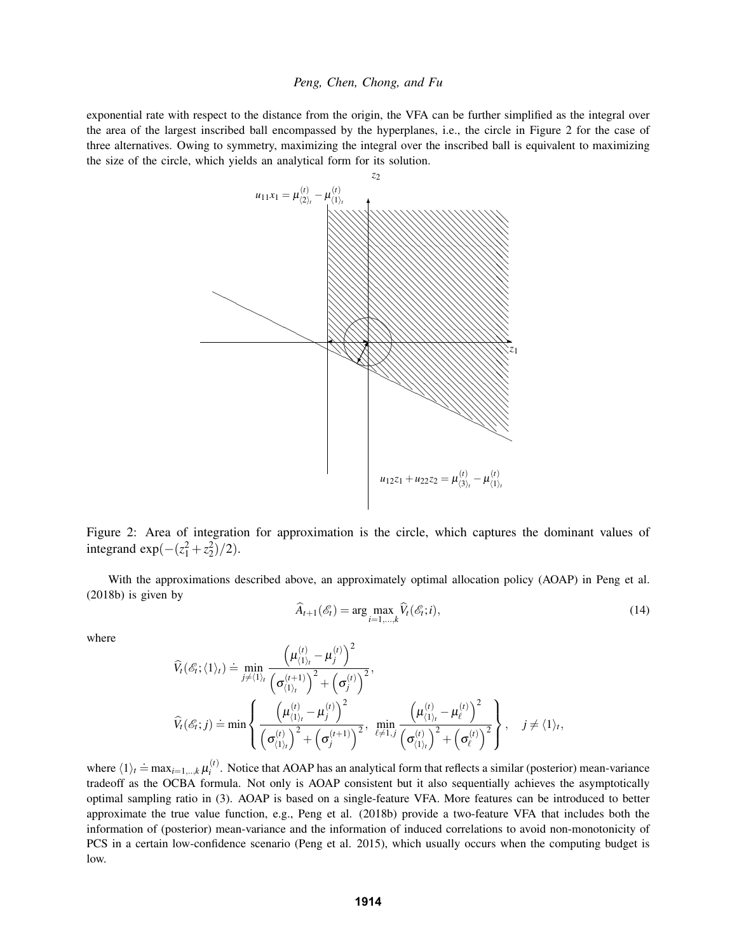exponential rate with respect to the distance from the origin, the VFA can be further simplified as the integral over the area of the largest inscribed ball encompassed by the hyperplanes, i.e., the circle in Figure 2 for the case of three alternatives. Owing to symmetry, maximizing the integral over the inscribed ball is equivalent to maximizing the size of the circle, which yields an analytical form for its solution.



Figure 2: Area of integration for approximation is the circle, which captures the dominant values of integrand  $exp(-(z_1^2 + z_2^2)/2)$ .

With the approximations described above, an approximately optimal allocation policy (AOAP) in Peng et al. (2018b) is given by

$$
\widehat{A}_{t+1}(\mathscr{E}_t) = \arg\max_{i=1,\dots,k} \widehat{V}_t(\mathscr{E}_t; i),\tag{14}
$$

where

$$
\widehat{V}_{t}(\mathscr{E}_{t};\langle 1 \rangle_{t}) \doteq \min_{j \neq \langle 1 \rangle_{t}} \frac{\left(\mu_{\langle 1 \rangle_{t}}^{(t)} - \mu_{j}^{(t)}\right)^{2}}{\left(\sigma_{\langle 1 \rangle_{t}}^{(t+1)}\right)^{2} + \left(\sigma_{j}^{(t)}\right)^{2}},
$$
\n
$$
\widehat{V}_{t}(\mathscr{E}_{t};j) \doteq \min \left\{\frac{\left(\mu_{\langle 1 \rangle_{t}}^{(t)} - \mu_{j}^{(t)}\right)^{2}}{\left(\sigma_{\langle 1 \rangle_{t}}^{(t)}\right)^{2} + \left(\sigma_{j}^{(t+1)}\right)^{2}}, \min_{\ell \neq 1, j} \frac{\left(\mu_{\langle 1 \rangle_{t}}^{(t)} - \mu_{\ell}^{(t)}\right)^{2}}{\left(\sigma_{\langle 1 \rangle_{t}}^{(t)}\right)^{2} + \left(\sigma_{\ell}^{(t)}\right)^{2}}\right\}, \quad j \neq \langle 1 \rangle_{t},
$$

where  $\langle 1 \rangle_t \doteq \max_{i=1,..,k} \mu_i^{(t)}$  $i<sup>i</sup>$ . Notice that AOAP has an analytical form that reflects a similar (posterior) mean-variance tradeoff as the OCBA formula. Not only is AOAP consistent but it also sequentially achieves the asymptotically optimal sampling ratio in (3). AOAP is based on a single-feature VFA. More features can be introduced to better approximate the true value function, e.g., Peng et al. (2018b) provide a two-feature VFA that includes both the information of (posterior) mean-variance and the information of induced correlations to avoid non-monotonicity of PCS in a certain low-confidence scenario (Peng et al. 2015), which usually occurs when the computing budget is low.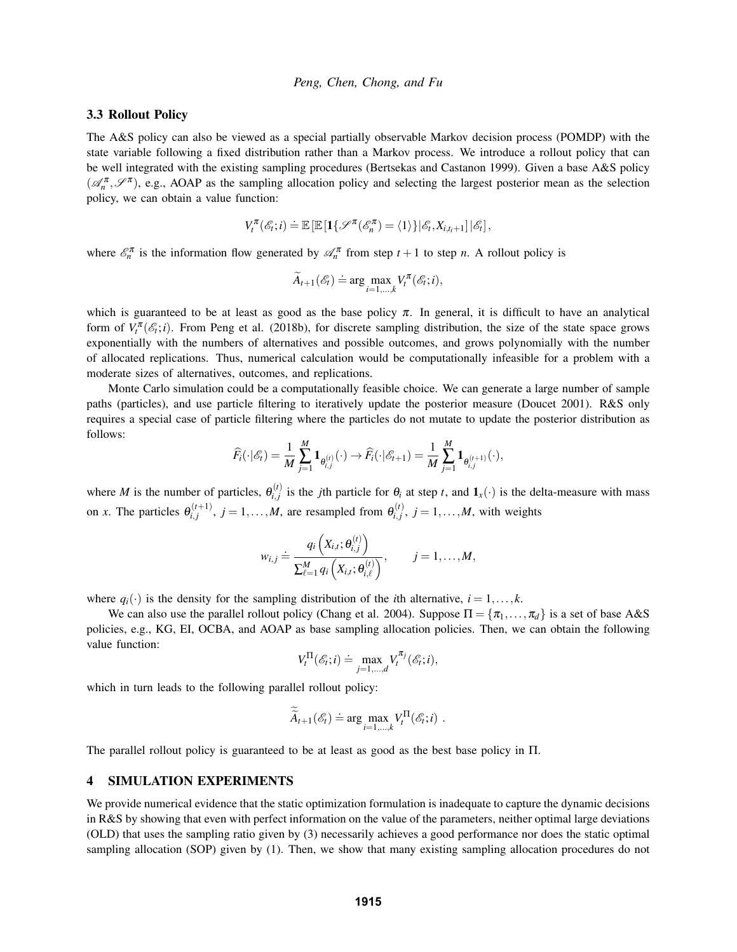# 3.3 Rollout Policy

The A&S policy can also be viewed as a special partially observable Markov decision process (POMDP) with the state variable following a fixed distribution rather than a Markov process. We introduce a rollout policy that can be well integrated with the existing sampling procedures (Bertsekas and Castanon 1999). Given a base A&S policy  $(\mathcal{A}_n^{\pi}, \mathcal{S}^{\pi})$ , e.g., AOAP as the sampling allocation policy and selecting the largest posterior mean as the selection policy, we can obtain a value function:

$$
V_t^{\pi}(\mathscr{E}_t; i) \doteq \mathbb{E} \left[ \mathbb{E} \left[ \mathbf{1} \{ \mathscr{S}^{\pi}(\mathscr{E}_n^{\pi}) = \langle 1 \rangle \} \right | \mathscr{E}_t, X_{i,t_i+1} \right] | \mathscr{E}_t \right],
$$

where  $\mathcal{E}_n^{\pi}$  is the information flow generated by  $\mathcal{A}_n^{\pi}$  from step  $t+1$  to step *n*. A rollout policy is

$$
\widetilde{A}_{t+1}(\mathscr{E}_t) \doteq \arg \max_{i=1,\dots,k} V_t^{\pi}(\mathscr{E}_t; i),
$$

which is guaranteed to be at least as good as the base policy  $\pi$ . In general, it is difficult to have an analytical form of  $V_t^{\pi}(\mathcal{E}_t; i)$ . From Peng et al. (2018b), for discrete sampling distribution, the size of the state space grows exponentially with the numbers of alternatives and possible outcomes, and grows polynomially with the number of allocated replications. Thus, numerical calculation would be computationally infeasible for a problem with a moderate sizes of alternatives, outcomes, and replications.

Monte Carlo simulation could be a computationally feasible choice. We can generate a large number of sample paths (particles), and use particle filtering to iteratively update the posterior measure (Doucet 2001). R&S only requires a special case of particle filtering where the particles do not mutate to update the posterior distribution as follows:

$$
\widehat{F}_i(\cdot | \mathscr{E}_t) = \frac{1}{M} \sum_{j=1}^M \mathbf{1}_{\theta_{i,j}^{(t)}}(\cdot) \to \widehat{F}_i(\cdot | \mathscr{E}_{t+1}) = \frac{1}{M} \sum_{j=1}^M \mathbf{1}_{\theta_{i,j}^{(t+1)}}(\cdot),
$$

where *M* is the number of particles,  $\theta_{i,j}^{(t)}$  $\hat{a}_{i,j}^{(t)}$  is the *j*th particle for  $\theta_i$  at step *t*, and  $\mathbf{1}_x(\cdot)$  is the delta-measure with mass on *x*. The particles  $\theta_{i,j}^{(t+1)}$  $j_{i,j}^{(t+1)}$ ,  $j = 1, \ldots, M$ , are resampled from  $\theta_{i,j}^{(t)}$  $j_{i,j}^{(t)}$ ,  $j = 1, \ldots, M$ , with weights

$$
w_{i,j} \doteq \frac{q_i\left(X_{i,t}; \theta_{i,j}^{(t)}\right)}{\sum_{\ell=1}^M q_i\left(X_{i,t}; \theta_{i,\ell}^{(t)}\right)}, \qquad j=1,\ldots,M,
$$

where  $q_i(\cdot)$  is the density for the sampling distribution of the *i*th alternative,  $i = 1, \ldots, k$ .

We can also use the parallel rollout policy (Chang et al. 2004). Suppose  $\Pi = {\pi_1, ..., \pi_d}$  is a set of base A&S policies, e.g., KG, EI, OCBA, and AOAP as base sampling allocation policies. Then, we can obtain the following value function:

$$
V_t^{\Pi}(\mathcal{E}_t; i) \doteq \max_{j=1,\dots,d} V_t^{\pi_j}(\mathcal{E}_t; i),
$$

which in turn leads to the following parallel rollout policy:

$$
\widetilde{\widetilde{A}}_{t+1}(\mathscr{E}_t) \doteq \arg \max_{i=1,\dots,k} V_t^{\Pi}(\mathscr{E}_t; i) .
$$

The parallel rollout policy is guaranteed to be at least as good as the best base policy in Π.

# 4 SIMULATION EXPERIMENTS

We provide numerical evidence that the static optimization formulation is inadequate to capture the dynamic decisions in R&S by showing that even with perfect information on the value of the parameters, neither optimal large deviations (OLD) that uses the sampling ratio given by (3) necessarily achieves a good performance nor does the static optimal sampling allocation (SOP) given by (1). Then, we show that many existing sampling allocation procedures do not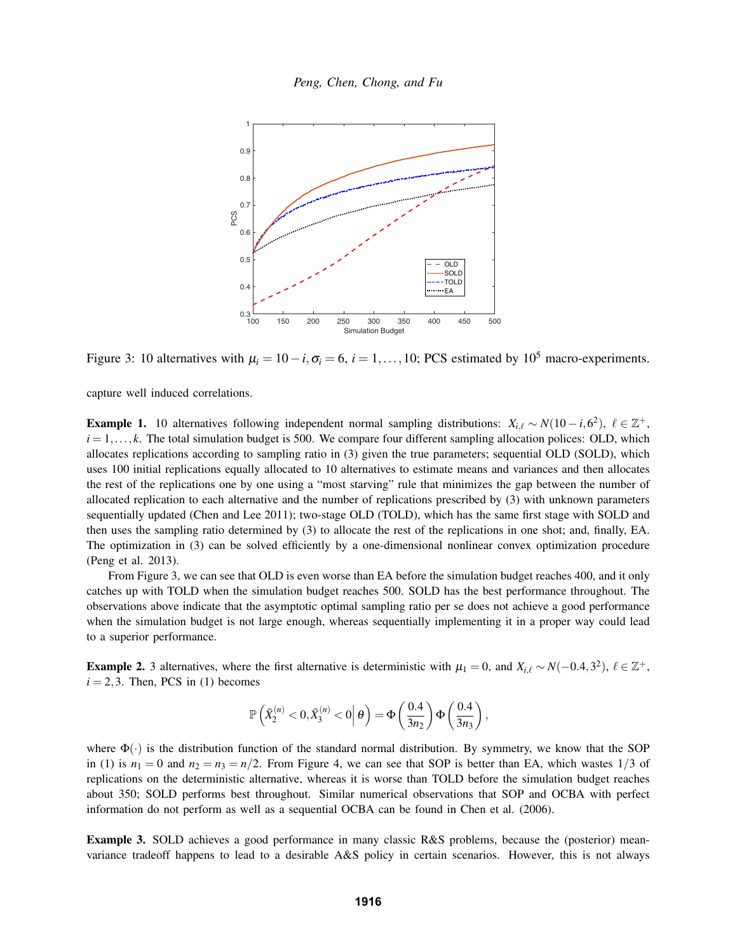

Figure 3: 10 alternatives with  $\mu_i = 10 - i$ ,  $\sigma_i = 6$ ,  $i = 1, ..., 10$ ; PCS estimated by 10<sup>5</sup> macro-experiments.

capture well induced correlations.

**Example 1.** 10 alternatives following independent normal sampling distributions:  $X_{i,\ell} \sim N(10 - i, 6^2)$ ,  $\ell \in \mathbb{Z}^+$ ,  $i = 1, \ldots, k$ . The total simulation budget is 500. We compare four different sampling allocation polices: OLD, which allocates replications according to sampling ratio in (3) given the true parameters; sequential OLD (SOLD), which uses 100 initial replications equally allocated to 10 alternatives to estimate means and variances and then allocates the rest of the replications one by one using a "most starving" rule that minimizes the gap between the number of allocated replication to each alternative and the number of replications prescribed by (3) with unknown parameters sequentially updated (Chen and Lee 2011); two-stage OLD (TOLD), which has the same first stage with SOLD and then uses the sampling ratio determined by (3) to allocate the rest of the replications in one shot; and, finally, EA. The optimization in (3) can be solved efficiently by a one-dimensional nonlinear convex optimization procedure (Peng et al. 2013).

From Figure 3, we can see that OLD is even worse than EA before the simulation budget reaches 400, and it only catches up with TOLD when the simulation budget reaches 500. SOLD has the best performance throughout. The observations above indicate that the asymptotic optimal sampling ratio per se does not achieve a good performance when the simulation budget is not large enough, whereas sequentially implementing it in a proper way could lead to a superior performance.

**Example 2.** 3 alternatives, where the first alternative is deterministic with  $\mu_1 = 0$ , and  $X_{i,\ell} \sim N(-0.4, 3^2)$ ,  $\ell \in \mathbb{Z}^+$ ,  $i = 2, 3$ . Then, PCS in (1) becomes

$$
\mathbb{P}\left(\bar{X}_2^{(n)} < 0, \bar{X}_3^{(n)} < 0\right|\theta\right) = \Phi\left(\frac{0.4}{3n_2}\right)\Phi\left(\frac{0.4}{3n_3}\right),
$$

where  $\Phi(\cdot)$  is the distribution function of the standard normal distribution. By symmetry, we know that the SOP in (1) is  $n_1 = 0$  and  $n_2 = n_3 = n/2$ . From Figure 4, we can see that SOP is better than EA, which wastes  $1/3$  of replications on the deterministic alternative, whereas it is worse than TOLD before the simulation budget reaches about 350; SOLD performs best throughout. Similar numerical observations that SOP and OCBA with perfect information do not perform as well as a sequential OCBA can be found in Chen et al. (2006).

Example 3. SOLD achieves a good performance in many classic R&S problems, because the (posterior) meanvariance tradeoff happens to lead to a desirable A&S policy in certain scenarios. However, this is not always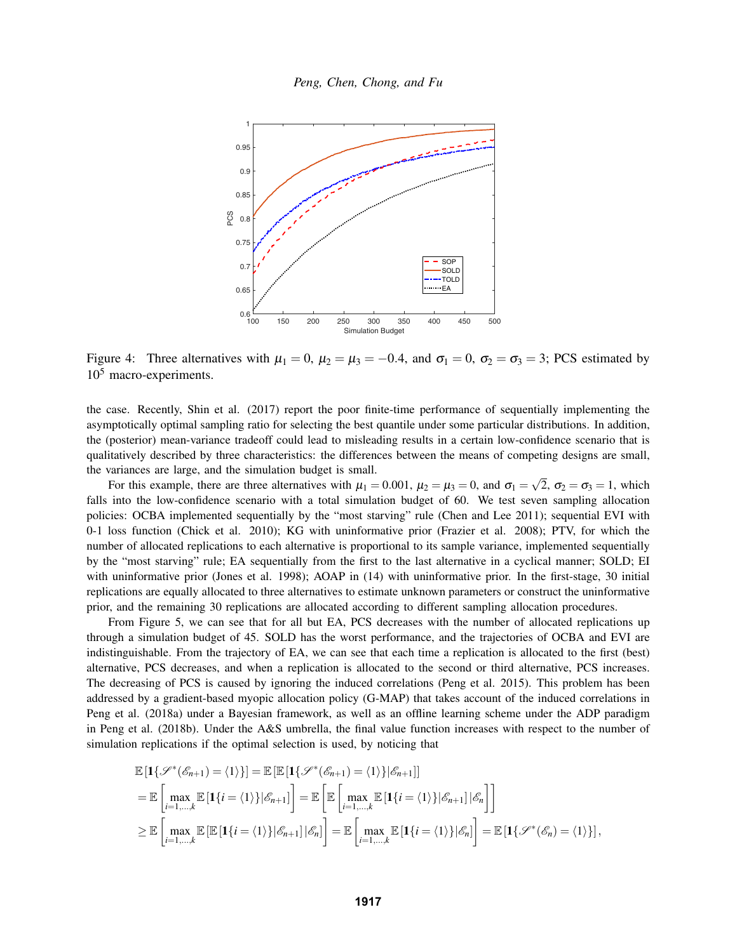

Figure 4: Three alternatives with  $\mu_1 = 0$ ,  $\mu_2 = \mu_3 = -0.4$ , and  $\sigma_1 = 0$ ,  $\sigma_2 = \sigma_3 = 3$ ; PCS estimated by  $10<sup>5</sup>$  macro-experiments.

the case. Recently, Shin et al. (2017) report the poor finite-time performance of sequentially implementing the asymptotically optimal sampling ratio for selecting the best quantile under some particular distributions. In addition, the (posterior) mean-variance tradeoff could lead to misleading results in a certain low-confidence scenario that is qualitatively described by three characteristics: the differences between the means of competing designs are small, the variances are large, and the simulation budget is small. √

For this example, there are three alternatives with  $\mu_1 = 0.001$ ,  $\mu_2 = \mu_3 = 0$ , and  $\sigma_1 =$ 2,  $\sigma_2 = \sigma_3 = 1$ , which falls into the low-confidence scenario with a total simulation budget of 60. We test seven sampling allocation policies: OCBA implemented sequentially by the "most starving" rule (Chen and Lee 2011); sequential EVI with 0-1 loss function (Chick et al. 2010); KG with uninformative prior (Frazier et al. 2008); PTV, for which the number of allocated replications to each alternative is proportional to its sample variance, implemented sequentially by the "most starving" rule; EA sequentially from the first to the last alternative in a cyclical manner; SOLD; EI with uninformative prior (Jones et al. 1998); AOAP in (14) with uninformative prior. In the first-stage, 30 initial replications are equally allocated to three alternatives to estimate unknown parameters or construct the uninformative prior, and the remaining 30 replications are allocated according to different sampling allocation procedures.

From Figure 5, we can see that for all but EA, PCS decreases with the number of allocated replications up through a simulation budget of 45. SOLD has the worst performance, and the trajectories of OCBA and EVI are indistinguishable. From the trajectory of EA, we can see that each time a replication is allocated to the first (best) alternative, PCS decreases, and when a replication is allocated to the second or third alternative, PCS increases. The decreasing of PCS is caused by ignoring the induced correlations (Peng et al. 2015). This problem has been addressed by a gradient-based myopic allocation policy (G-MAP) that takes account of the induced correlations in Peng et al. (2018a) under a Bayesian framework, as well as an offline learning scheme under the ADP paradigm in Peng et al. (2018b). Under the A&S umbrella, the final value function increases with respect to the number of simulation replications if the optimal selection is used, by noticing that

$$
\mathbb{E}\left[\mathbf{1}\{\mathscr{S}^*(\mathscr{E}_{n+1})=\langle 1\rangle\}\right] = \mathbb{E}\left[\mathbb{E}\left[\mathbf{1}\{\mathscr{S}^*(\mathscr{E}_{n+1})=\langle 1\rangle\}|\mathscr{E}_{n+1}\right]\right]
$$
\n
$$
= \mathbb{E}\left[\max_{i=1,\dots,k} \mathbb{E}\left[\mathbf{1}\{i=\langle 1\rangle\}|\mathscr{E}_{n+1}\right]\right] = \mathbb{E}\left[\mathbb{E}\left[\max_{i=1,\dots,k} \mathbb{E}\left[\mathbf{1}\{i=\langle 1\rangle\}|\mathscr{E}_{n+1}|\right|\mathscr{E}_{n}\right]\right]
$$
\n
$$
\geq \mathbb{E}\left[\max_{i=1,\dots,k} \mathbb{E}\left[\mathbb{E}\left[\mathbf{1}\{i=\langle 1\rangle\}|\mathscr{E}_{n+1}|\right|\mathscr{E}_{n}\right]\right] = \mathbb{E}\left[\max_{i=1,\dots,k} \mathbb{E}\left[\mathbf{1}\{i=\langle 1\rangle\}|\mathscr{E}_{n}\right]\right] = \mathbb{E}\left[\mathbf{1}\{\mathscr{S}^*(\mathscr{E}_{n})=\langle 1\rangle\}\right],
$$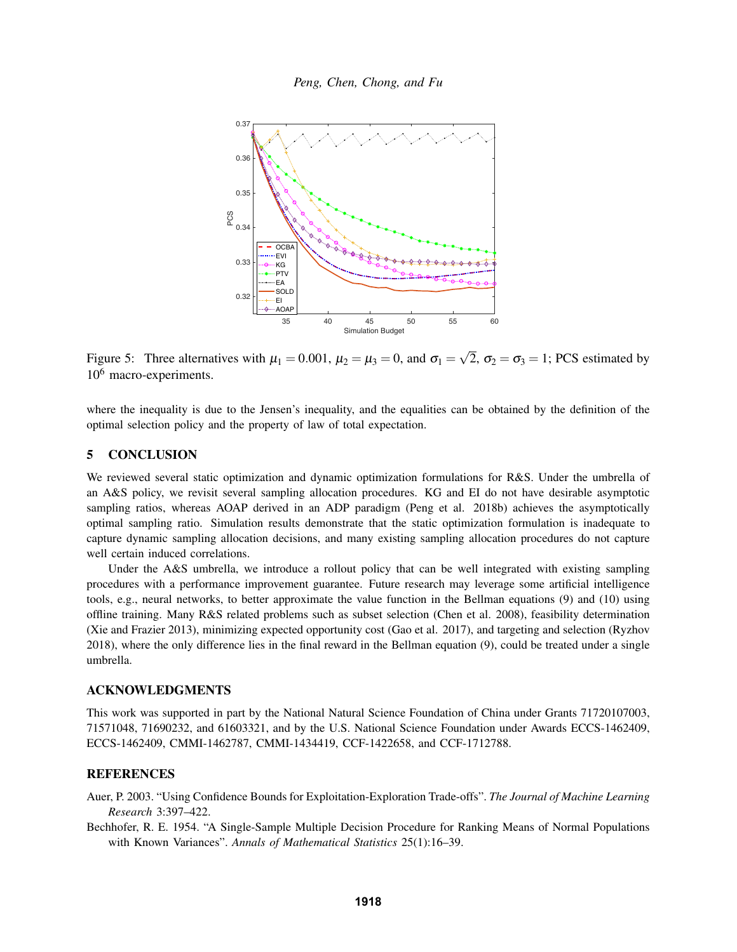

Figure 5: Three alternatives with  $\mu_1 = 0.001$ ,  $\mu_2 = \mu_3 = 0$ , and  $\sigma_1 =$ 2,  $\sigma_2 = \sigma_3 = 1$ ; PCS estimated by 10<sup>6</sup> macro-experiments.

where the inequality is due to the Jensen's inequality, and the equalities can be obtained by the definition of the optimal selection policy and the property of law of total expectation.

# 5 CONCLUSION

We reviewed several static optimization and dynamic optimization formulations for R&S. Under the umbrella of an A&S policy, we revisit several sampling allocation procedures. KG and EI do not have desirable asymptotic sampling ratios, whereas AOAP derived in an ADP paradigm (Peng et al. 2018b) achieves the asymptotically optimal sampling ratio. Simulation results demonstrate that the static optimization formulation is inadequate to capture dynamic sampling allocation decisions, and many existing sampling allocation procedures do not capture well certain induced correlations.

Under the A&S umbrella, we introduce a rollout policy that can be well integrated with existing sampling procedures with a performance improvement guarantee. Future research may leverage some artificial intelligence tools, e.g., neural networks, to better approximate the value function in the Bellman equations (9) and (10) using offline training. Many R&S related problems such as subset selection (Chen et al. 2008), feasibility determination (Xie and Frazier 2013), minimizing expected opportunity cost (Gao et al. 2017), and targeting and selection (Ryzhov 2018), where the only difference lies in the final reward in the Bellman equation (9), could be treated under a single umbrella.

#### ACKNOWLEDGMENTS

This work was supported in part by the National Natural Science Foundation of China under Grants 71720107003, 71571048, 71690232, and 61603321, and by the U.S. National Science Foundation under Awards ECCS-1462409, ECCS-1462409, CMMI-1462787, CMMI-1434419, CCF-1422658, and CCF-1712788.

# **REFERENCES**

Auer, P. 2003. "Using Confidence Bounds for Exploitation-Exploration Trade-offs". *The Journal of Machine Learning Research* 3:397–422.

Bechhofer, R. E. 1954. "A Single-Sample Multiple Decision Procedure for Ranking Means of Normal Populations with Known Variances". *Annals of Mathematical Statistics* 25(1):16–39.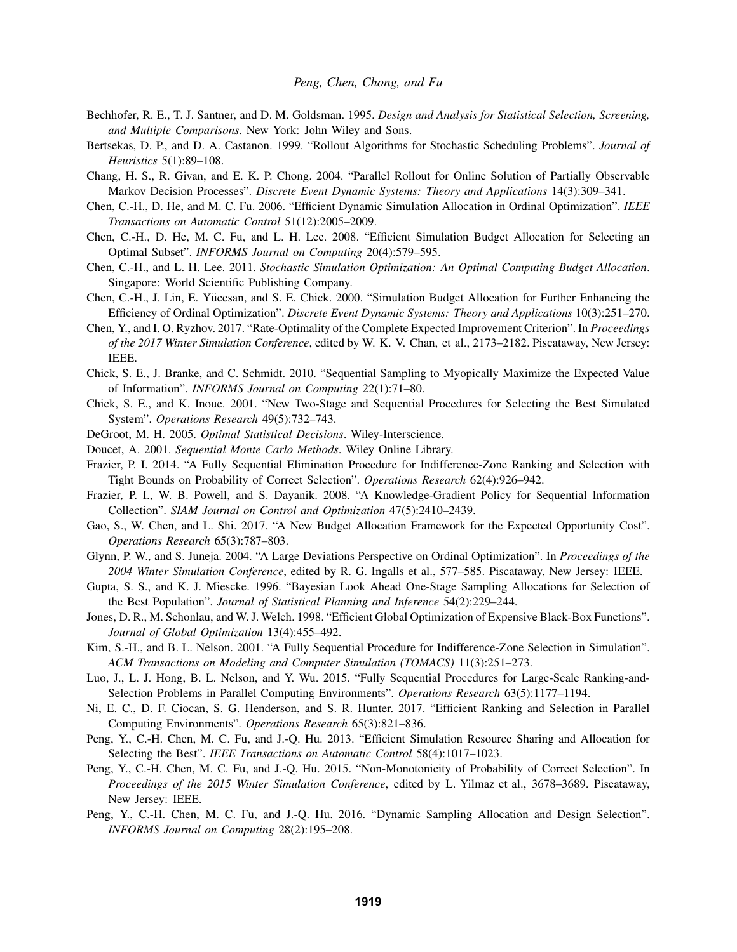- Bechhofer, R. E., T. J. Santner, and D. M. Goldsman. 1995. *Design and Analysis for Statistical Selection, Screening, and Multiple Comparisons*. New York: John Wiley and Sons.
- Bertsekas, D. P., and D. A. Castanon. 1999. "Rollout Algorithms for Stochastic Scheduling Problems". *Journal of Heuristics* 5(1):89–108.
- Chang, H. S., R. Givan, and E. K. P. Chong. 2004. "Parallel Rollout for Online Solution of Partially Observable Markov Decision Processes". *Discrete Event Dynamic Systems: Theory and Applications* 14(3):309–341.
- Chen, C.-H., D. He, and M. C. Fu. 2006. "Efficient Dynamic Simulation Allocation in Ordinal Optimization". *IEEE Transactions on Automatic Control* 51(12):2005–2009.
- Chen, C.-H., D. He, M. C. Fu, and L. H. Lee. 2008. "Efficient Simulation Budget Allocation for Selecting an Optimal Subset". *INFORMS Journal on Computing* 20(4):579–595.
- Chen, C.-H., and L. H. Lee. 2011. *Stochastic Simulation Optimization: An Optimal Computing Budget Allocation*. Singapore: World Scientific Publishing Company.
- Chen, C.-H., J. Lin, E. Yucesan, and S. E. Chick. 2000. "Simulation Budget Allocation for Further Enhancing the ¨ Efficiency of Ordinal Optimization". *Discrete Event Dynamic Systems: Theory and Applications* 10(3):251–270.
- Chen, Y., and I. O. Ryzhov. 2017. "Rate-Optimality of the Complete Expected Improvement Criterion". In *Proceedings of the 2017 Winter Simulation Conference*, edited by W. K. V. Chan, et al., 2173–2182. Piscataway, New Jersey: IEEE.
- Chick, S. E., J. Branke, and C. Schmidt. 2010. "Sequential Sampling to Myopically Maximize the Expected Value of Information". *INFORMS Journal on Computing* 22(1):71–80.
- Chick, S. E., and K. Inoue. 2001. "New Two-Stage and Sequential Procedures for Selecting the Best Simulated System". *Operations Research* 49(5):732–743.
- DeGroot, M. H. 2005. *Optimal Statistical Decisions*. Wiley-Interscience.
- Doucet, A. 2001. *Sequential Monte Carlo Methods*. Wiley Online Library.
- Frazier, P. I. 2014. "A Fully Sequential Elimination Procedure for Indifference-Zone Ranking and Selection with Tight Bounds on Probability of Correct Selection". *Operations Research* 62(4):926–942.
- Frazier, P. I., W. B. Powell, and S. Dayanik. 2008. "A Knowledge-Gradient Policy for Sequential Information Collection". *SIAM Journal on Control and Optimization* 47(5):2410–2439.
- Gao, S., W. Chen, and L. Shi. 2017. "A New Budget Allocation Framework for the Expected Opportunity Cost". *Operations Research* 65(3):787–803.
- Glynn, P. W., and S. Juneja. 2004. "A Large Deviations Perspective on Ordinal Optimization". In *Proceedings of the 2004 Winter Simulation Conference*, edited by R. G. Ingalls et al., 577–585. Piscataway, New Jersey: IEEE.
- Gupta, S. S., and K. J. Miescke. 1996. "Bayesian Look Ahead One-Stage Sampling Allocations for Selection of the Best Population". *Journal of Statistical Planning and Inference* 54(2):229–244.
- Jones, D. R., M. Schonlau, and W. J. Welch. 1998. "Efficient Global Optimization of Expensive Black-Box Functions". *Journal of Global Optimization* 13(4):455–492.
- Kim, S.-H., and B. L. Nelson. 2001. "A Fully Sequential Procedure for Indifference-Zone Selection in Simulation". *ACM Transactions on Modeling and Computer Simulation (TOMACS)* 11(3):251–273.
- Luo, J., L. J. Hong, B. L. Nelson, and Y. Wu. 2015. "Fully Sequential Procedures for Large-Scale Ranking-and-Selection Problems in Parallel Computing Environments". *Operations Research* 63(5):1177–1194.
- Ni, E. C., D. F. Ciocan, S. G. Henderson, and S. R. Hunter. 2017. "Efficient Ranking and Selection in Parallel Computing Environments". *Operations Research* 65(3):821–836.
- Peng, Y., C.-H. Chen, M. C. Fu, and J.-Q. Hu. 2013. "Efficient Simulation Resource Sharing and Allocation for Selecting the Best". *IEEE Transactions on Automatic Control* 58(4):1017–1023.
- Peng, Y., C.-H. Chen, M. C. Fu, and J.-Q. Hu. 2015. "Non-Monotonicity of Probability of Correct Selection". In *Proceedings of the 2015 Winter Simulation Conference*, edited by L. Yilmaz et al., 3678–3689. Piscataway, New Jersey: IEEE.
- Peng, Y., C.-H. Chen, M. C. Fu, and J.-Q. Hu. 2016. "Dynamic Sampling Allocation and Design Selection". *INFORMS Journal on Computing* 28(2):195–208.